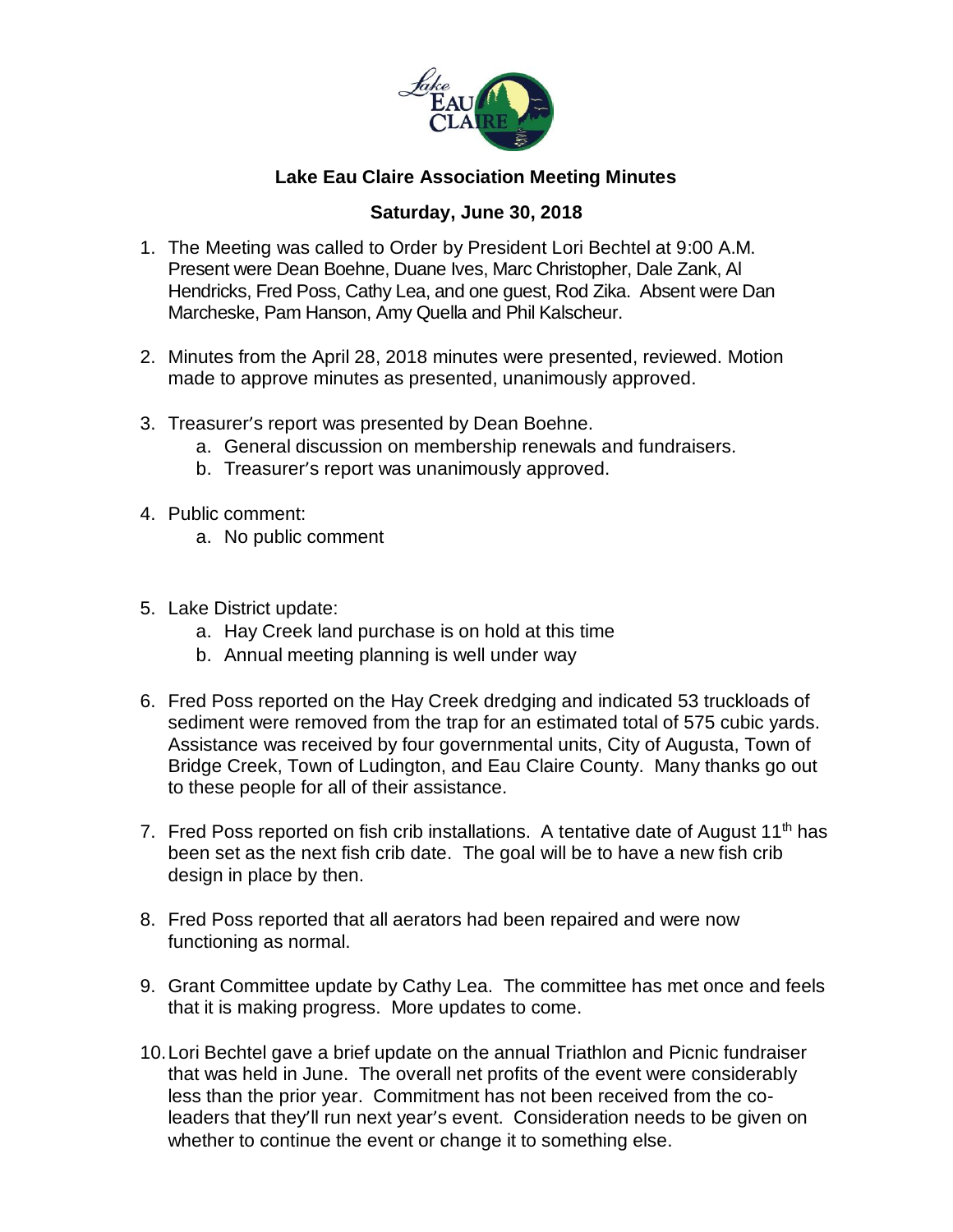

## **Lake Eau Claire Association Meeting Minutes**

## **Saturday, June 30, 2018**

- 1. The Meeting was called to Order by President Lori Bechtel at 9:00 A.M. Present were Dean Boehne, Duane Ives, Marc Christopher, Dale Zank, Al Hendricks, Fred Poss, Cathy Lea, and one guest, Rod Zika. Absent were Dan Marcheske, Pam Hanson, Amy Quella and Phil Kalscheur.
- 2. Minutes from the April 28, 2018 minutes were presented, reviewed. Motion made to approve minutes as presented, unanimously approved.
- 3. Treasurer's report was presented by Dean Boehne.
	- a. General discussion on membership renewals and fundraisers.
	- b. Treasurer's report was unanimously approved.
- 4. Public comment:
	- a. No public comment
- 5. Lake District update:
	- a. Hay Creek land purchase is on hold at this time
	- b. Annual meeting planning is well under way
- 6. Fred Poss reported on the Hay Creek dredging and indicated 53 truckloads of sediment were removed from the trap for an estimated total of 575 cubic yards. Assistance was received by four governmental units, City of Augusta, Town of Bridge Creek, Town of Ludington, and Eau Claire County. Many thanks go out to these people for all of their assistance.
- 7. Fred Poss reported on fish crib installations. A tentative date of August  $11<sup>th</sup>$  has been set as the next fish crib date. The goal will be to have a new fish crib design in place by then.
- 8. Fred Poss reported that all aerators had been repaired and were now functioning as normal.
- 9. Grant Committee update by Cathy Lea. The committee has met once and feels that it is making progress. More updates to come.
- 10.Lori Bechtel gave a brief update on the annual Triathlon and Picnic fundraiser that was held in June. The overall net profits of the event were considerably less than the prior year. Commitment has not been received from the coleaders that they'll run next year's event. Consideration needs to be given on whether to continue the event or change it to something else.